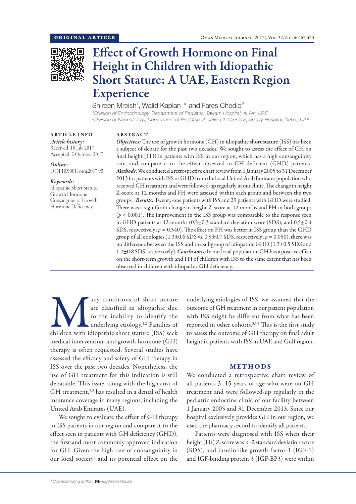

# Effect of Growth Hormone on Final Height in Children with Idiopathic Short Stature: A UAE, Eastern Region Experience

Shireen Mreish<sup>1</sup>, Walid Kaplan<sup>1\*</sup> and Fares Chedid<sup>2</sup>

*1 Division of Endocrinology, Department of Pediatric, Tawam Hospital, Al Ain, UAE 2 Division of Neonatology, Department of Pediatric, Al Jalila Children's Specialty Hospital, Dubai, UAE*

### ARTICLE INFO

*Article history:* Received: 10 July 2017 Accepted: 2 October 2017

*Online:* DOI 10.5001/omj.2017.90

*Keywords:*  Idiopathic Short Stature; Growth Hormone; Consanguinity; Growth Hormone Deficiency.

## ABSTRACT

*Objectives:* The use of growth hormone (GH) in idiopathic short stature (ISS) has been a subject of debate for the past two decades. We sought to assess the effect of GH on final height (FH) in patients with ISS in our region, which has a high consanguinity rate, and compare it to the effect observed in GH deficient (GHD) patients. *Methods*: We conducted a retrospective chart review from 1 January 2005 to 31 December 2013 for patients with ISS or GHD from the local United Arab Emirates population who received GH treatment and were followed-up regularly in our clinic. The change in height Z-score at 12 months and FH were assessed within each group and between the two groups. *Results:* Twenty-one patients with ISS and 29 patients with GHD were studied. There was a significant change in height Z-score at 12 months and FH in both groups (*p* < 0.001). The improvement in the ISS group was comparable to the response seen in GHD patients at 12 months (0.5±0.3 standard deviation score (SDS), and 0.5±0.4 SDS, respectively;  $p = 0.540$ ). The effect on FH was better in ISS group than the GHD group of all etiologies  $(1.3\pm0.6$  SDS vs.  $0.9\pm0.7$  SDS, respectively;  $p = 0.050$ ), there was no difference between the ISS and the subgroup of idiopathic GHD (1.3±0.5 SDS and 1.2±0.8 SDS, respectively). *Conclusions:* In our local population, GH has a positive effect on the short-term growth and FH of children with ISS to the same extent that has been observed in children with idiopathic GH deficiency.

any conditions of short stature<br>
are classified as idiopathic due<br>
to the inability to identify the<br>
underlying etiology.<sup>1,2</sup> Families of<br>
children with idiopathic short stature (ISS) seek are classified as idiopathic due to the inability to identify the underlying etiology.<sup>1,2</sup> Families of medical intervention, and growth hormone (GH) therapy is often requested. Several studies have assessed the efficacy and safety of GH therapy in ISS over the past two decades. Nonetheless, the use of GH treatment for this indication is still debatable. This issue, along with the high cost of GH treatment,<sup>2,3</sup> has resulted in a denial of health insurance coverage in many regions, including the United Arab Emirates (UAE).

We sought to evaluate the effect of GH therapy in ISS patients in our region and compare it to the effect seen in patients with GH deficiency (GHD), the first and most commonly approved indication for GH. Given the high rate of consanguinity in our local society<sup>4</sup> and its potential effect on the

underlying etiologies of ISS, we assumed that the outcome of GH treatment in our patient population with ISS might be different from what has been reported in other cohorts.3,5,6 This is the first study to assess the outcome of GH therapy on final adult height in patients with ISS in UAE and Gulf region.

# METHODS

We conducted a retrospective chart review of all patients 3–15 years of age who were on GH treatment and were followed-up regularly in the pediatric endocrine clinic of our facility between 1 January 2005 and 31 December 2013. Since our hospital exclusively provides GH in our region, we used the pharmacy record to identify all patients.

Patients were diagnosed with ISS when their height (Ht) Z-score was < -2 standard deviation score (SDS), and insulin-like growth factor-1 (IGF-1) and IGF-binding protein 3 (IGF-BP3) were within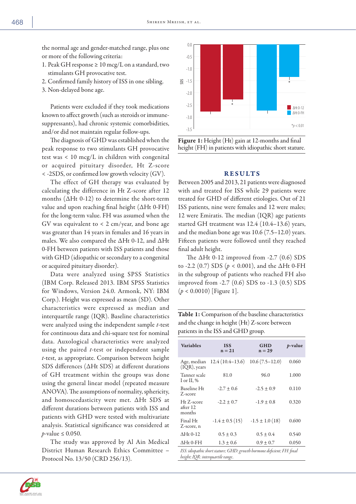the normal age and gender-matched range, plus one or more of the following criteria:

- 1. Peak GH response  $\geq 10 \,\mathrm{mcg/L}$  on a standard, two stimulants GH provocative test.
- 2. Confirmed family history of ISS in one sibling.
- 3. Non-delayed bone age.

Patients were excluded if they took medications known to affect growth (such as steroids or immunesuppressants), had chronic systemic comorbidities, and/or did not maintain regular follow-ups.

The diagnosis of GHD was established when the peak response to two stimulants GH provocative test was < 10 mcg/L in children with congenital or acquired pituitary disorder, Ht Z-score < -2SDS, or confirmed low growth velocity (GV).

The effect of GH therapy was evaluated by calculating the difference in Ht Z-score after 12 months  $(\Delta Ht 0-12)$  to determine the short-term value and upon reaching final height (ΔHt 0-FH) for the long-term value. FH was assumed when the GV was equivalent to < 2 cm/year, and bone age was greater than 14 years in females and 16 years in males. We also compared the ΔHt 0-12, and ΔHt 0-FH between patients with ISS patients and those with GHD (idiopathic or secondary to a congenital or acquired pituitary disorder).

Data were analyzed using SPSS Statistics (IBM Corp. Released 2013. IBM SPSS Statistics for Windows, Version 24.0. Armonk, NY: IBM Corp.). Height was expressed as mean (SD). Other characteristics were expressed as median and interquartile range (IQR). Baseline characteristics were analyzed using the independent sample *t*-test for continuous data and chi-square test for nominal data. Auxological characteristics were analyzed using the paired *t*-test or independent sample *t*-test, as appropriate. Comparison between height SDS differences (ΔHt SDS) at different durations of GH treatment within the groups was done using the general linear model (repeated measure ANOVA). The assumptions of normality, sphericity, and homoscedasticity were met. ΔHt SDS at different durations between patients with ISS and patients with GHD were tested with multivariate analysis. Statistical significance was considered at *p*-value ≤ 0.050.

The study was approved by Al Ain Medical District Human Research Ethics Committee – Protocol No. 13/50 (CRD 256/13).



Figure 1: Height (Ht) gain at 12-months and final height (FH) in patients with idiopathic short stature.

#### RESULTS

Between 2005 and 2013, 21 patients were diagnosed with and treated for ISS while 29 patients were treated for GHD of different etiologies. Out of 21 ISS patients, nine were females and 12 were males; 12 were Emiratis. The median (IQR) age patients started GH treatment was 12.4 (10.4–13.6) years, and the median bone age was 10.6 (7.5–12.0) years. Fifteen patients were followed until they reached final adult height.

The  $\Delta Ht$  0-12 improved from -2.7 (0.6) SDS to -2.2 (0.7) SDS (*p* < 0.001), and the ΔHt 0-FH in the subgroup of patients who reached FH also improved from -2.7 (0.6) SDS to -1.3 (0.5) SDS (*p* < 0.0010) [Figure 1].

Table 1: Comparison of the baseline characteristics and the change in height (Ht) Z-score between patients in the ISS and GHD group.

| <b>Variables</b>                                                                                            | <b>ISS</b><br>$n = 21$ | <b>GHD</b><br>$n = 29$ | <i>p</i> -value |
|-------------------------------------------------------------------------------------------------------------|------------------------|------------------------|-----------------|
| Age, median<br>$(IQR)$ , years                                                                              | $12.4(10.4-13.6)$      | $10.6(7.5-12.0)$       | 0.060           |
| Tanner scale<br>I or II, %                                                                                  | 81.0                   | 96.0                   | 1.000           |
| Baseline Ht<br>Z-score                                                                                      | $-2.7 \pm 0.6$         | $-2.5 \pm 0.9$         | 0.110           |
| Ht Z-score<br>after 12<br>months                                                                            | $-2.2 \pm 0.7$         | $-1.9 \pm 0.8$         | 0.320           |
| Final Ht<br>Z-score, n                                                                                      | $-1.4 \pm 0.5$ (15)    | $-1.5 \pm 1.0$ (18)    | 0.600           |
| $\triangle$ Ht 0-12                                                                                         | $0.5 \pm 0.3$          | $0.5 \pm 0.4$          | 0.540           |
| $\Delta H$ t 0-FH                                                                                           | $1.3 \pm 0.6$          | $0.9 \pm 0.7$          | 0.050           |
| ISS: idiopathic short stature; GHD: growth hormone deficient; FH: final<br>height; IQR: interquartile range |                        |                        |                 |



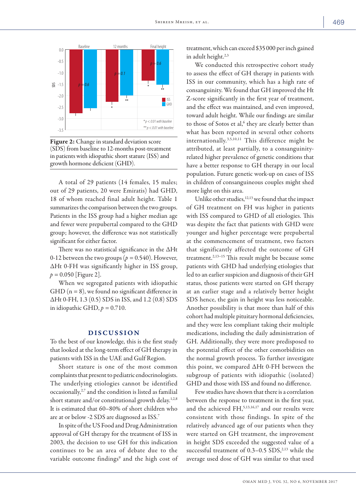

Figure 2: Change in standard deviation score (SDS) from baseline to 12-months post-treatment in patients with idiopathic short stature (ISS) and growth hormone deficient (GHD).

A total of 29 patients (14 females, 15 males; out of 29 patients, 20 were Emiratis) had GHD, 18 of whom reached final adult height. Table 1 summarizes the comparison between the two groups. Patients in the ISS group had a higher median age and fewer were prepubertal compared to the GHD group; however, the difference was not statistically significant for either factor.

There was no statistical significance in the ΔHt 0-12 between the two groups ( $p = 0.540$ ). However, ΔHt 0-FH was significantly higher in ISS group, *p =* 0.050 [Figure 2].

When we segregated patients with idiopathic GHD ( $n = 8$ ), we found no significant difference in ΔHt 0-FH, 1.3 (0.5) SDS in ISS, and 1.2 (0.8) SDS in idiopathic GHD,  $p = 0.710$ .

## DISCUSSION

To the best of our knowledge, this is the first study that looked at the long-term effect of GH therapy in patients with ISS in the UAE and Gulf Region.

Short stature is one of the most common complaints that present to pediatric endocrinologists. The underlying etiologies cannot be identified occasionally,<sup>2,7</sup> and the condition is listed as familial short stature and/or constitutional growth delay.<sup>1,2,8</sup> It is estimated that 60–80% of short children who are at or below -2 SDS are diagnosed as ISS.7

In spite of the US Food and Drug Administration approval of GH therapy for the treatment of ISS in 2003, the decision to use GH for this indication continues to be an area of debate due to the variable outcome findings<sup>9</sup> and the high cost of treatment, which can exceed \$35000 per inch gained in adult height.<sup>2,3</sup>

We conducted this retrospective cohort study to assess the effect of GH therapy in patients with ISS in our community, which has a high rate of consanguinity. We found that GH improved the Ht Z-score significantly in the first year of treatment, and the effect was maintained, and even improved, toward adult height. While our findings are similar to those of Sotos et al,<sup>6</sup> they are clearly better than what has been reported in several other cohorts internationally.3,5,10,11 This difference might be attributed, at least partially, to a consanguinityrelated higher prevalence of genetic conditions that have a better response to GH therapy in our local population. Future genetic work-up on cases of ISS in children of consanguineous couples might shed more light on this area.

Unlike other studies,<sup>12,13</sup> we found that the impact of GH treatment on FH was higher in patients with ISS compared to GHD of all etiologies. This was despite the fact that patients with GHD were younger and higher percentage were prepubertal at the commencement of treatment, two factors that significantly affected the outcome of GH treatment.2,13–15 This result might be because some patients with GHD had underlying etiologies that led to an earlier suspicion and diagnosis of their GH status, those patients were started on GH therapy at an earlier stage and a relatively better height SDS hence, the gain in height was less noticeable. Another possibility is that more than half of this cohort had multiple pituitary hormonal deficiencies, and they were less compliant taking their multiple medications, including the daily administration of GH. Additionally, they were more predisposed to the potential effect of the other comorbidities on the normal growth process. To further investigate this point, we compared ΔHt 0-FH between the subgroup of patients with idiopathic (isolated) GHD and those with ISS and found no difference.

Few studies have shown that there is a correlation between the response to treatment in the first year, and the achieved FH,<sup>5,13,16,17</sup> and our results were consistent with those findings. In spite of the relatively advanced age of our patients when they were started on GH treatment, the improvement in height SDS exceeded the suggested value of a successful treatment of  $0.3-0.5$  SDS,<sup>2,13</sup> while the average used dose of GH was similar to that used